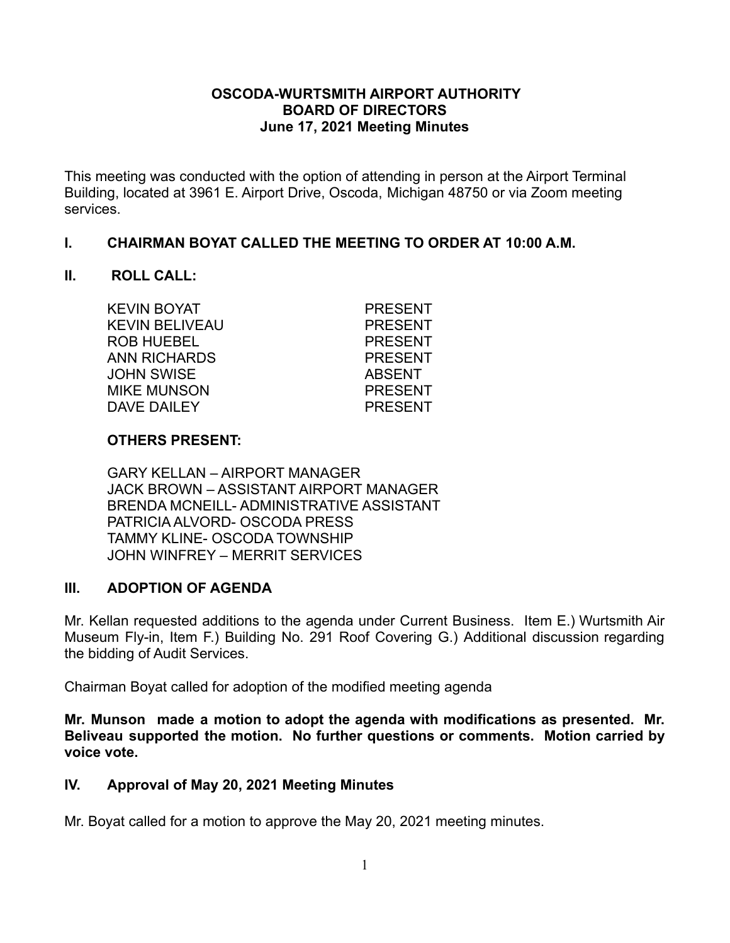#### **OSCODA-WURTSMITH AIRPORT AUTHORITY BOARD OF DIRECTORS June 17, 2021 Meeting Minutes**

This meeting was conducted with the option of attending in person at the Airport Terminal Building, located at 3961 E. Airport Drive, Oscoda, Michigan 48750 or via Zoom meeting services.

### **I. CHAIRMAN BOYAT CALLED THE MEETING TO ORDER AT 10:00 A.M.**

### **II. ROLL CALL:**

KEVIN BOYAT PRESENT KEVIN BELIVEAU PRESENT ROB HUEBEL PRESENT ANN RICHARDS PRESENT JOHN SWISE ABSENT MIKE MUNSON PRESENT DAVE DAILEY PRESENT

## **OTHERS PRESENT:**

GARY KELLAN – AIRPORT MANAGER JACK BROWN – ASSISTANT AIRPORT MANAGER BRENDA MCNEILL- ADMINISTRATIVE ASSISTANT PATRICIA ALVORD- OSCODA PRESS TAMMY KLINE- OSCODA TOWNSHIP JOHN WINFREY – MERRIT SERVICES

## **III. ADOPTION OF AGENDA**

Mr. Kellan requested additions to the agenda under Current Business. Item E.) Wurtsmith Air Museum Fly-in, Item F.) Building No. 291 Roof Covering G.) Additional discussion regarding the bidding of Audit Services.

Chairman Boyat called for adoption of the modified meeting agenda

**Mr. Munson made a motion to adopt the agenda with modifications as presented. Mr. Beliveau supported the motion. No further questions or comments. Motion carried by voice vote.**

## **IV. Approval of May 20, 2021 Meeting Minutes**

Mr. Boyat called for a motion to approve the May 20, 2021 meeting minutes.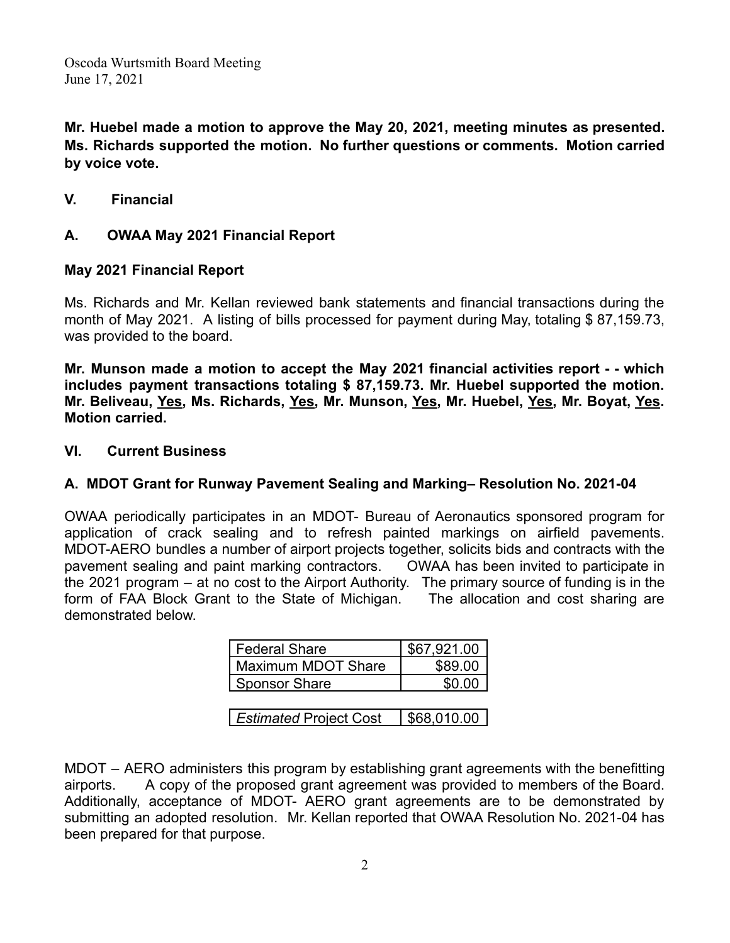**Mr. Huebel made a motion to approve the May 20, 2021, meeting minutes as presented. Ms. Richards supported the motion. No further questions or comments. Motion carried by voice vote.**

**V. Financial**

### **A. OWAA May 2021 Financial Report**

### **May 2021 Financial Report**

Ms. Richards and Mr. Kellan reviewed bank statements and financial transactions during the month of May 2021. A listing of bills processed for payment during May, totaling \$ 87,159.73, was provided to the board.

**Mr. Munson made a motion to accept the May 2021 financial activities report - - which includes payment transactions totaling \$ 87,159.73. Mr. Huebel supported the motion. Mr. Beliveau, Yes, Ms. Richards, Yes, Mr. Munson, Yes, Mr. Huebel, Yes, Mr. Boyat, Yes. Motion carried.**

#### **VI. Current Business**

## **A. MDOT Grant for Runway Pavement Sealing and Marking– Resolution No. 2021-04**

OWAA periodically participates in an MDOT- Bureau of Aeronautics sponsored program for application of crack sealing and to refresh painted markings on airfield pavements. MDOT-AERO bundles a number of airport projects together, solicits bids and contracts with the pavement sealing and paint marking contractors. OWAA has been invited to participate in the 2021 program – at no cost to the Airport Authority. The primary source of funding is in the form of FAA Block Grant to the State of Michigan. The allocation and cost sharing are demonstrated below.

| Federal Share      | \$67,921.00 |
|--------------------|-------------|
| Maximum MDOT Share | \$89.00     |
| Sponsor Share      | \$0.00      |

**Estimated Project Cost | \$68,010.00 |** 

MDOT – AERO administers this program by establishing grant agreements with the benefitting airports. A copy of the proposed grant agreement was provided to members of the Board. Additionally, acceptance of MDOT- AERO grant agreements are to be demonstrated by submitting an adopted resolution. Mr. Kellan reported that OWAA Resolution No. 2021-04 has been prepared for that purpose.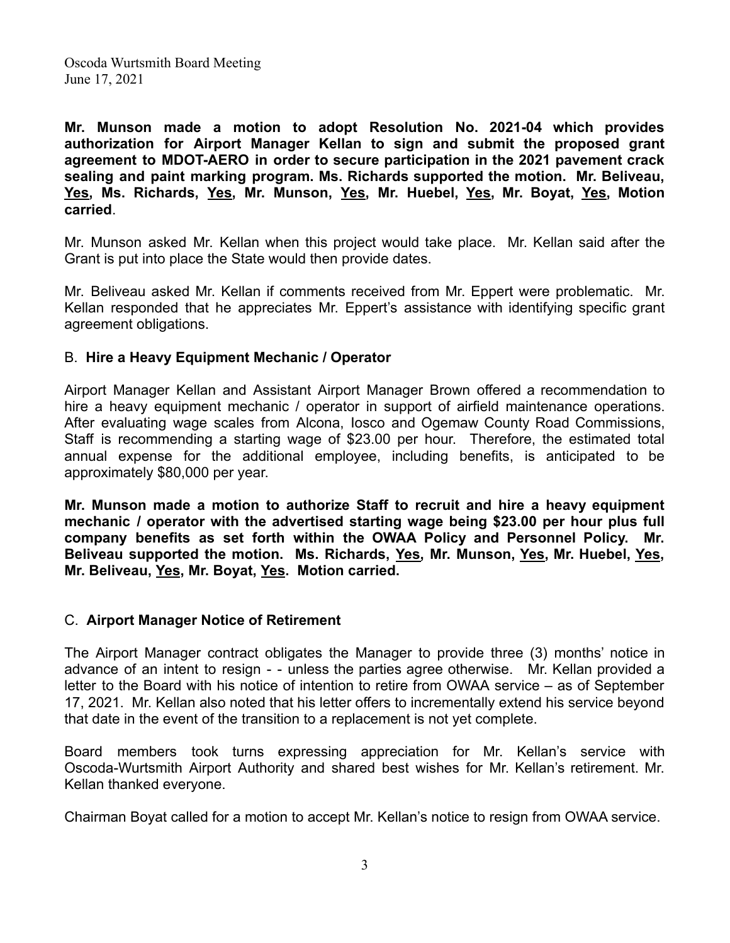**Mr. Munson made a motion to adopt Resolution No. 2021-04 which provides authorization for Airport Manager Kellan to sign and submit the proposed grant agreement to MDOT-AERO in order to secure participation in the 2021 pavement crack sealing and paint marking program. Ms. Richards supported the motion. Mr. Beliveau, Yes, Ms. Richards, Yes, Mr. Munson, Yes, Mr. Huebel, Yes, Mr. Boyat, Yes, Motion carried**.

Mr. Munson asked Mr. Kellan when this project would take place. Mr. Kellan said after the Grant is put into place the State would then provide dates.

Mr. Beliveau asked Mr. Kellan if comments received from Mr. Eppert were problematic. Mr. Kellan responded that he appreciates Mr. Eppert's assistance with identifying specific grant agreement obligations.

#### B. **Hire a Heavy Equipment Mechanic / Operator**

Airport Manager Kellan and Assistant Airport Manager Brown offered a recommendation to hire a heavy equipment mechanic / operator in support of airfield maintenance operations. After evaluating wage scales from Alcona, Iosco and Ogemaw County Road Commissions, Staff is recommending a starting wage of \$23.00 per hour. Therefore, the estimated total annual expense for the additional employee, including benefits, is anticipated to be approximately \$80,000 per year.

**Mr. Munson made a motion to authorize Staff to recruit and hire a heavy equipment mechanic / operator with the advertised starting wage being \$23.00 per hour plus full company benefits as set forth within the OWAA Policy and Personnel Policy. Mr. Beliveau supported the motion. Ms. Richards, Yes, Mr. Munson, Yes, Mr. Huebel, Yes, Mr. Beliveau, Yes, Mr. Boyat, Yes. Motion carried.**

#### C. **Airport Manager Notice of Retirement**

The Airport Manager contract obligates the Manager to provide three (3) months' notice in advance of an intent to resign - - unless the parties agree otherwise. Mr. Kellan provided a letter to the Board with his notice of intention to retire from OWAA service – as of September 17, 2021. Mr. Kellan also noted that his letter offers to incrementally extend his service beyond that date in the event of the transition to a replacement is not yet complete.

Board members took turns expressing appreciation for Mr. Kellan's service with Oscoda-Wurtsmith Airport Authority and shared best wishes for Mr. Kellan's retirement. Mr. Kellan thanked everyone.

Chairman Boyat called for a motion to accept Mr. Kellan's notice to resign from OWAA service.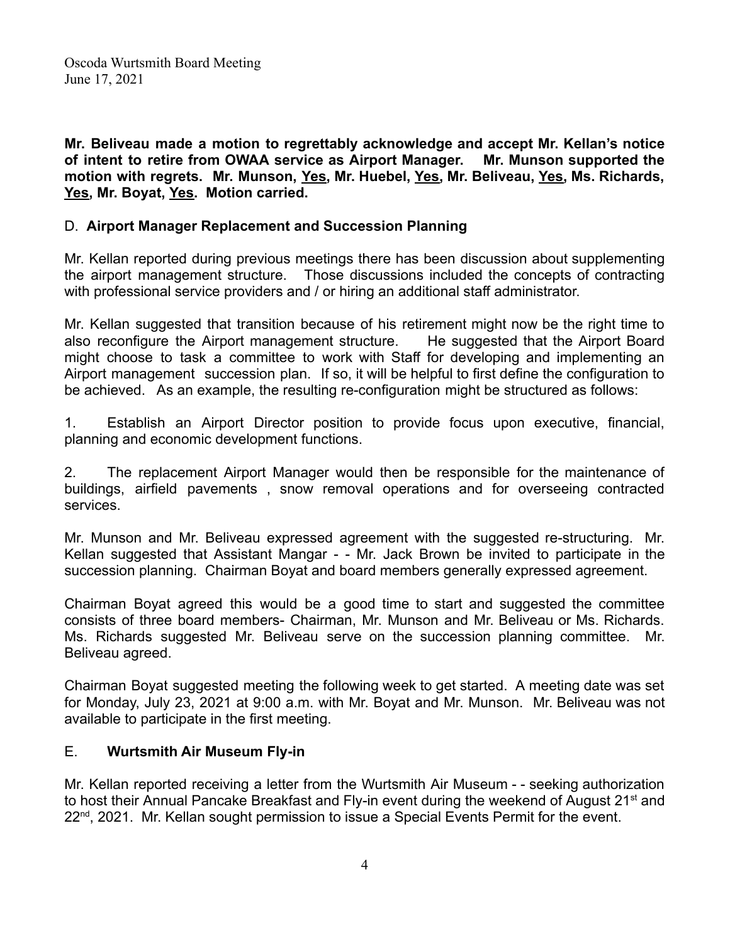**Mr. Beliveau made a motion to regrettably acknowledge and accept Mr. Kellan's notice of intent to retire from OWAA service as Airport Manager. Mr. Munson supported the motion with regrets. Mr. Munson, Yes, Mr. Huebel, Yes, Mr. Beliveau, Yes, Ms. Richards, Yes, Mr. Boyat, Yes. Motion carried.**

#### D. **Airport Manager Replacement and Succession Planning**

Mr. Kellan reported during previous meetings there has been discussion about supplementing the airport management structure. Those discussions included the concepts of contracting with professional service providers and / or hiring an additional staff administrator.

Mr. Kellan suggested that transition because of his retirement might now be the right time to also reconfigure the Airport management structure. He suggested that the Airport Board might choose to task a committee to work with Staff for developing and implementing an Airport management succession plan. If so, it will be helpful to first define the configuration to be achieved. As an example, the resulting re-configuration might be structured as follows:

1. Establish an Airport Director position to provide focus upon executive, financial, planning and economic development functions.

2. The replacement Airport Manager would then be responsible for the maintenance of buildings, airfield pavements , snow removal operations and for overseeing contracted services.

Mr. Munson and Mr. Beliveau expressed agreement with the suggested re-structuring. Mr. Kellan suggested that Assistant Mangar - - Mr. Jack Brown be invited to participate in the succession planning. Chairman Boyat and board members generally expressed agreement.

Chairman Boyat agreed this would be a good time to start and suggested the committee consists of three board members- Chairman, Mr. Munson and Mr. Beliveau or Ms. Richards. Ms. Richards suggested Mr. Beliveau serve on the succession planning committee. Mr. Beliveau agreed.

Chairman Boyat suggested meeting the following week to get started. A meeting date was set for Monday, July 23, 2021 at 9:00 a.m. with Mr. Boyat and Mr. Munson. Mr. Beliveau was not available to participate in the first meeting.

#### E. **Wurtsmith Air Museum Fly-in**

Mr. Kellan reported receiving a letter from the Wurtsmith Air Museum - - seeking authorization to host their Annual Pancake Breakfast and Fly-in event during the weekend of August 21<sup>st</sup> and 22<sup>nd</sup>, 2021. Mr. Kellan sought permission to issue a Special Events Permit for the event.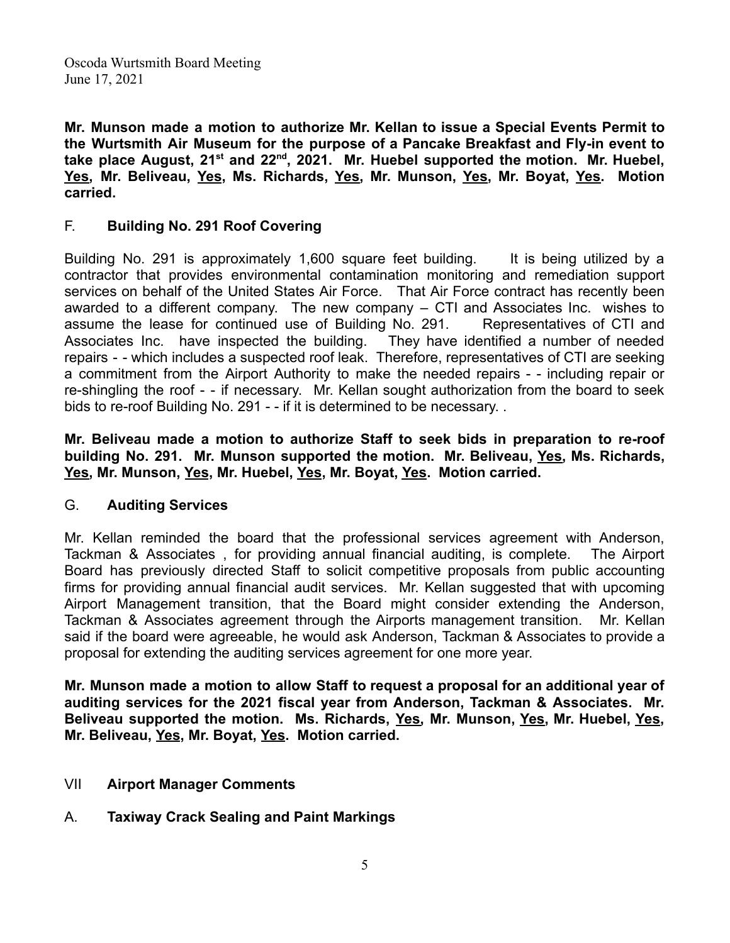**Mr. Munson made a motion to authorize Mr. Kellan to issue a Special Events Permit to the Wurtsmith Air Museum for the purpose of a Pancake Breakfast and Fly-in event to take place August, 21st and 22nd , 2021. Mr. Huebel supported the motion. Mr. Huebel, Yes, Mr. Beliveau, Yes, Ms. Richards, Yes, Mr. Munson, Yes, Mr. Boyat, Yes. Motion carried.**

#### F. **Building No. 291 Roof Covering**

Building No. 291 is approximately 1,600 square feet building. It is being utilized by a contractor that provides environmental contamination monitoring and remediation support services on behalf of the United States Air Force. That Air Force contract has recently been awarded to a different company. The new company – CTI and Associates Inc. wishes to assume the lease for continued use of Building No. 291. Representatives of CTI and Associates Inc. have inspected the building. They have identified a number of needed repairs - - which includes a suspected roof leak. Therefore, representatives of CTI are seeking a commitment from the Airport Authority to make the needed repairs - - including repair or re-shingling the roof - - if necessary. Mr. Kellan sought authorization from the board to seek bids to re-roof Building No. 291 - - if it is determined to be necessary. .

**Mr. Beliveau made a motion to authorize Staff to seek bids in preparation to re-roof building No. 291. Mr. Munson supported the motion. Mr. Beliveau, Yes, Ms. Richards, Yes, Mr. Munson, Yes, Mr. Huebel, Yes, Mr. Boyat, Yes. Motion carried.**

#### G. **Auditing Services**

Mr. Kellan reminded the board that the professional services agreement with Anderson, Tackman & Associates , for providing annual financial auditing, is complete. The Airport Board has previously directed Staff to solicit competitive proposals from public accounting firms for providing annual financial audit services. Mr. Kellan suggested that with upcoming Airport Management transition, that the Board might consider extending the Anderson, Tackman & Associates agreement through the Airports management transition. Mr. Kellan said if the board were agreeable, he would ask Anderson, Tackman & Associates to provide a proposal for extending the auditing services agreement for one more year.

**Mr. Munson made a motion to allow Staff to request a proposal for an additional year of auditing services for the 2021 fiscal year from Anderson, Tackman & Associates. Mr. Beliveau supported the motion. Ms. Richards, Yes, Mr. Munson, Yes, Mr. Huebel, Yes, Mr. Beliveau, Yes, Mr. Boyat, Yes. Motion carried.**

- VII **Airport Manager Comments**
- A. **Taxiway Crack Sealing and Paint Markings**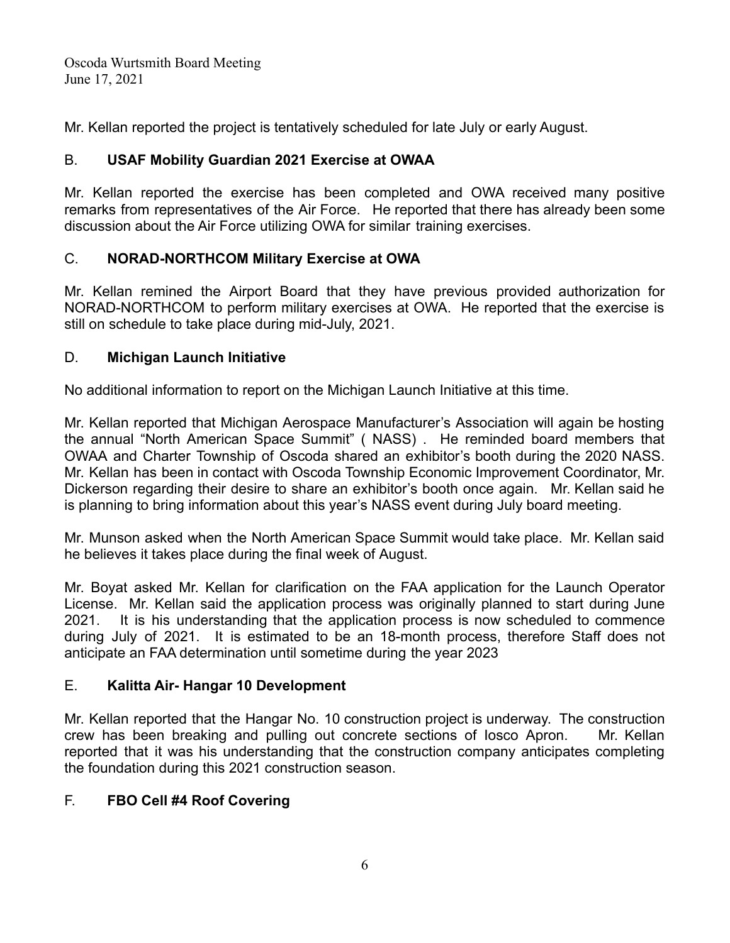Mr. Kellan reported the project is tentatively scheduled for late July or early August.

## B. **USAF Mobility Guardian 2021 Exercise at OWAA**

Mr. Kellan reported the exercise has been completed and OWA received many positive remarks from representatives of the Air Force. He reported that there has already been some discussion about the Air Force utilizing OWA for similar training exercises.

## C. **NORAD-NORTHCOM Military Exercise at OWA**

Mr. Kellan remined the Airport Board that they have previous provided authorization for NORAD-NORTHCOM to perform military exercises at OWA. He reported that the exercise is still on schedule to take place during mid-July, 2021.

## D. **Michigan Launch Initiative**

No additional information to report on the Michigan Launch Initiative at this time.

Mr. Kellan reported that Michigan Aerospace Manufacturer's Association will again be hosting the annual "North American Space Summit" ( NASS) . He reminded board members that OWAA and Charter Township of Oscoda shared an exhibitor's booth during the 2020 NASS. Mr. Kellan has been in contact with Oscoda Township Economic Improvement Coordinator, Mr. Dickerson regarding their desire to share an exhibitor's booth once again. Mr. Kellan said he is planning to bring information about this year's NASS event during July board meeting.

Mr. Munson asked when the North American Space Summit would take place. Mr. Kellan said he believes it takes place during the final week of August.

Mr. Boyat asked Mr. Kellan for clarification on the FAA application for the Launch Operator License. Mr. Kellan said the application process was originally planned to start during June 2021. It is his understanding that the application process is now scheduled to commence during July of 2021. It is estimated to be an 18-month process, therefore Staff does not anticipate an FAA determination until sometime during the year 2023

# E. **Kalitta Air- Hangar 10 Development**

Mr. Kellan reported that the Hangar No. 10 construction project is underway. The construction crew has been breaking and pulling out concrete sections of Iosco Apron. Mr. Kellan reported that it was his understanding that the construction company anticipates completing the foundation during this 2021 construction season.

# F. **FBO Cell #4 Roof Covering**